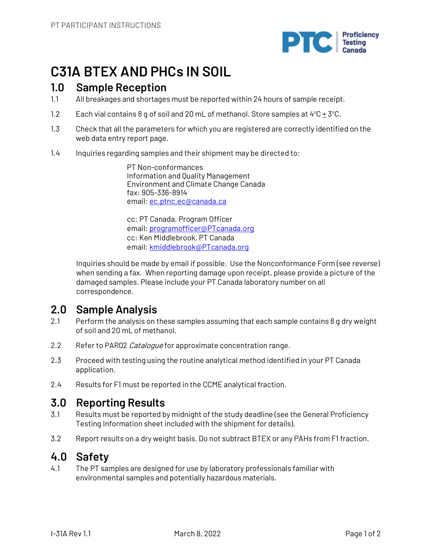

# **C31A BTEX AND PHCs IN SOIL**

# **1.0 Sample Reception**

- 1.1 All breakages and shortages must be reported within 24 hours of sample receipt.
- 1.2 Each vial contains 8 g of soil and 20 mL of methanol. Store samples at  $4^{\circ}$ C  $\pm$  3 $^{\circ}$ C.
- 1.3 Check that all the parameters for which you are registered are correctly identified on the web data entry report page.
- 1.4 Inquiries regarding samples and their shipment may be directed to:

PT Non-conformances Information and Quality Management Environment and Climate Change Canada fax: 905-336-8914 email: ec.ptnc.ec@canada.ca

cc: PT Canada, Program Officer email: programofficer@PTcanada.org cc: Ken Middlebrook, PT Canada email: kmiddlebrook@PTcanada.org

Inquiries should be made by email if possible. Use the Nonconformance Form (see reverse) when sending a fax. When reporting damage upon receipt, please provide a picture of the damaged samples. Please include your PT Canada laboratory number on all correspondence.

# **2.0 Sample Analysis**

- 2.1 Perform the analysis on these samples assuming that each sample contains 8 g dry weight of soil and 20 mL of methanol.
- 2.2 Refer to PAR02 Catalogue for approximate concentration range.
- 2.3 Proceed with testing using the routine analytical method identified in your PT Canada application.
- 2.4 Results for F1 must be reported in the CCME analytical fraction.

## **3.0 Reporting Results**

- 3.1 Results must be reported by midnight of the study deadline (see the General Proficiency Testing Information sheet included with the shipment for details).
- 3.2 Report results on a dry weight basis. Do not subtract BTEX or any PAHs from F1 fraction.

## **4.0 Safety**

4.1 The PT samples are designed for use by laboratory professionals familiar with environmental samples and potentially hazardous materials.